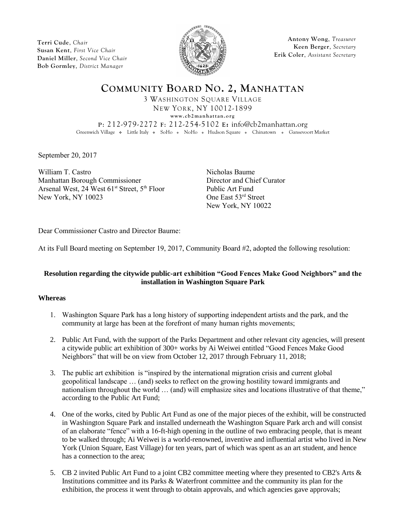**Terri Cude**, *Chair* **Susan Kent**, *First Vice Chair* **Daniel Miller**, *Second Vice Chair* **Bob Gormley**, *District Manager*



**Antony Wong**, *Treasurer* **Keen Berger**, *Secretary* **Erik Coler**, *Assistant Secretary*

**COMMUNITY BOARD NO. 2, MANHATTAN** 3 WASHINGTON SQUARE VILLAGE NEW YORK, NY 10012-1899  $www. cb2 manhattan.org$ **P**: 212-979-2272 **F**: 212-254-5102 **E:** info@cb2manhattan.org Greenwich Village . Little Italy . SoHo . NoHo . Hudson Square . Chinatown . Gansevoort Market

September 20, 2017

William T. Castro Nicholas Baume Manhattan Borough Commissioner Director and Chief Curator Arsenal West, 24 West 61<sup>st</sup> Street, 5<sup>th</sup> Floor Public Art Fund New York, NY 10023 One East 53<sup>rd</sup> Street

New York, NY 10022

Dear Commissioner Castro and Director Baume:

At its Full Board meeting on September 19, 2017, Community Board #2, adopted the following resolution:

## **Resolution regarding the citywide public-art exhibition "Good Fences Make Good Neighbors" and the installation in Washington Square Park**

## **Whereas**

- 1. Washington Square Park has a long history of supporting independent artists and the park, and the community at large has been at the forefront of many human rights movements;
- 2. Public Art Fund, with the support of the Parks Department and other relevant city agencies, will present a citywide public art exhibition of 300+ works by Ai Weiwei entitled "Good Fences Make Good Neighbors" that will be on view from October 12, 2017 through February 11, 2018;
- 3. The public art exhibition is "inspired by the international migration crisis and current global geopolitical landscape … (and) seeks to reflect on the growing hostility toward immigrants and nationalism throughout the world … (and) will emphasize sites and locations illustrative of that theme," according to the Public Art Fund;
- 4. One of the works, cited by Public Art Fund as one of the major pieces of the exhibit, will be constructed in Washington Square Park and installed underneath the Washington Square Park arch and will consist of an elaborate "fence" with a 16-ft-high opening in the outline of two embracing people, that is meant to be walked through; Ai Weiwei is a world-renowned, inventive and influential artist who lived in New York (Union Square, East Village) for ten years, part of which was spent as an art student, and hence has a connection to the area;
- 5. CB 2 invited Public Art Fund to a joint CB2 committee meeting where they presented to CB2's Arts & Institutions committee and its Parks & Waterfront committee and the community its plan for the exhibition, the process it went through to obtain approvals, and which agencies gave approvals;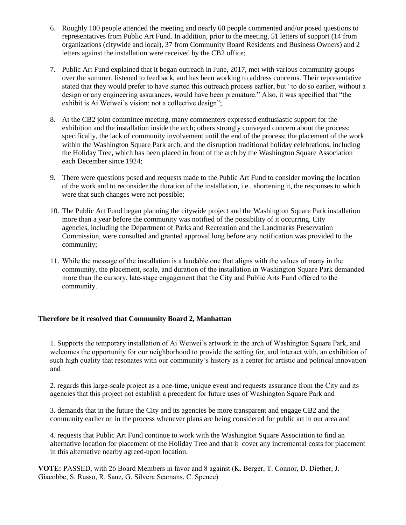- 6. Roughly 100 people attended the meeting and nearly 60 people commented and/or posed questions to representatives from Public Art Fund. In addition, prior to the meeting, 51 letters of support (14 from organizations (citywide and local), 37 from Community Board Residents and Business Owners) and 2 letters against the installation were received by the CB2 office;
- 7. Public Art Fund explained that it began outreach in June, 2017, met with various community groups over the summer, listened to feedback, and has been working to address concerns. Their representative stated that they would prefer to have started this outreach process earlier, but "to do so earlier, without a design or any engineering assurances, would have been premature." Also, it was specified that "the exhibit is Ai Weiwei's vision; not a collective design":
- 8. At the CB2 joint committee meeting, many commenters expressed enthusiastic support for the exhibition and the installation inside the arch; others strongly conveyed concern about the process: specifically, the lack of community involvement until the end of the process; the placement of the work within the Washington Square Park arch; and the disruption traditional holiday celebrations, including the Holiday Tree, which has been placed in front of the arch by the Washington Square Association each December since 1924;
- 9. There were questions posed and requests made to the Public Art Fund to consider moving the location of the work and to reconsider the duration of the installation, i.e., shortening it, the responses to which were that such changes were not possible;
- 10. The Public Art Fund began planning the citywide project and the Washington Square Park installation more than a year before the community was notified of the possibility of it occurring. City agencies, including the Department of Parks and Recreation and the Landmarks Preservation Commission, were consulted and granted approval long before any notification was provided to the community;
- 11. While the message of the installation is a laudable one that aligns with the values of many in the community, the placement, scale, and duration of the installation in Washington Square Park demanded more than the cursory, late-stage engagement that the City and Public Arts Fund offered to the community.

## **Therefore be it resolved that Community Board 2, Manhattan**

1. Supports the temporary installation of Ai Weiwei's artwork in the arch of Washington Square Park, and welcomes the opportunity for our neighborhood to provide the setting for, and interact with, an exhibition of such high quality that resonates with our community's history as a center for artistic and political innovation and

2. regards this large-scale project as a one-time, unique event and requests assurance from the City and its agencies that this project not establish a precedent for future uses of Washington Square Park and

3. demands that in the future the City and its agencies be more transparent and engage CB2 and the community earlier on in the process whenever plans are being considered for public art in our area and

4. requests that Public Art Fund continue to work with the Washington Square Association to find an alternative location for placement of the Holiday Tree and that it cover any incremental costs for placement in this alternative nearby agreed-upon location.

**VOTE:** PASSED, with 26 Board Members in favor and 8 against (K. Berger, T. Connor, D. Diether, J. Giacobbe, S. Russo, R. Sanz, G. Silvera Seamans, C. Spence)